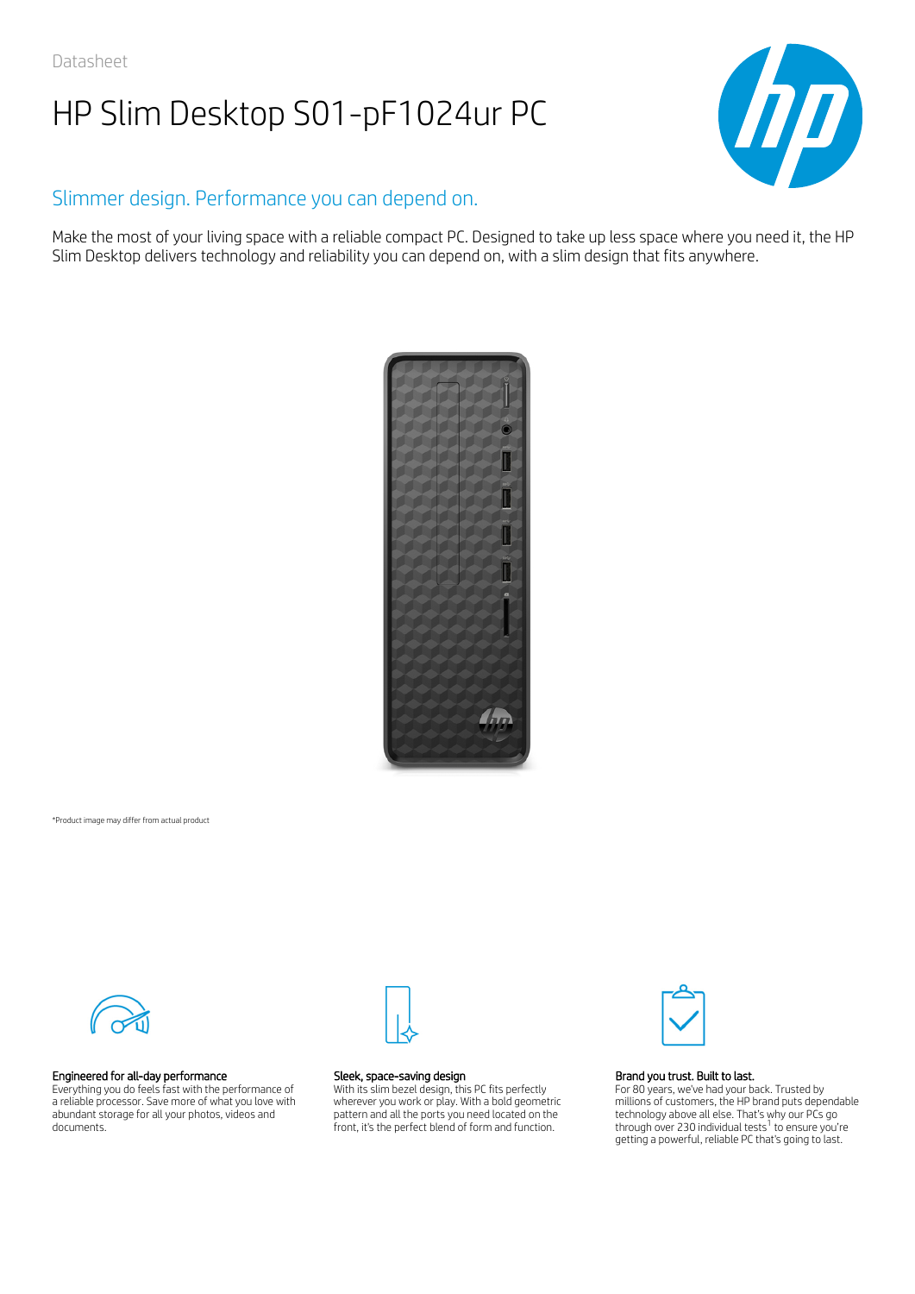

## Slimmer design. Performance you can depend on.

Make the most of your living space with a reliable compact PC. Designed to take up less space where you need it, the HP Slim Desktop delivers technology and reliability you can depend on, with a slim design that fits anywhere.



\*Product image may differ from actual product



### Engineered for all-day performance

Everything you do feels fast with the performance of a reliable processor. Save more of what you love with abundant storage for all your photos, videos and documents.



#### Sleek, space-saving design

With its slim bezel design, this PC fits perfectly wherever you work or play. With a bold geometric pattern and all the ports you need located on the front, it's the perfect blend of form and function.



#### Brand you trust. Built to last.

For 80 years, we've had your back. Trusted by millions of customers, the HP brand puts dependable technology above all else. That's why our PCs go through over 230 individual tests $^1$  to ensure you're getting a powerful, reliable PC that's going to last.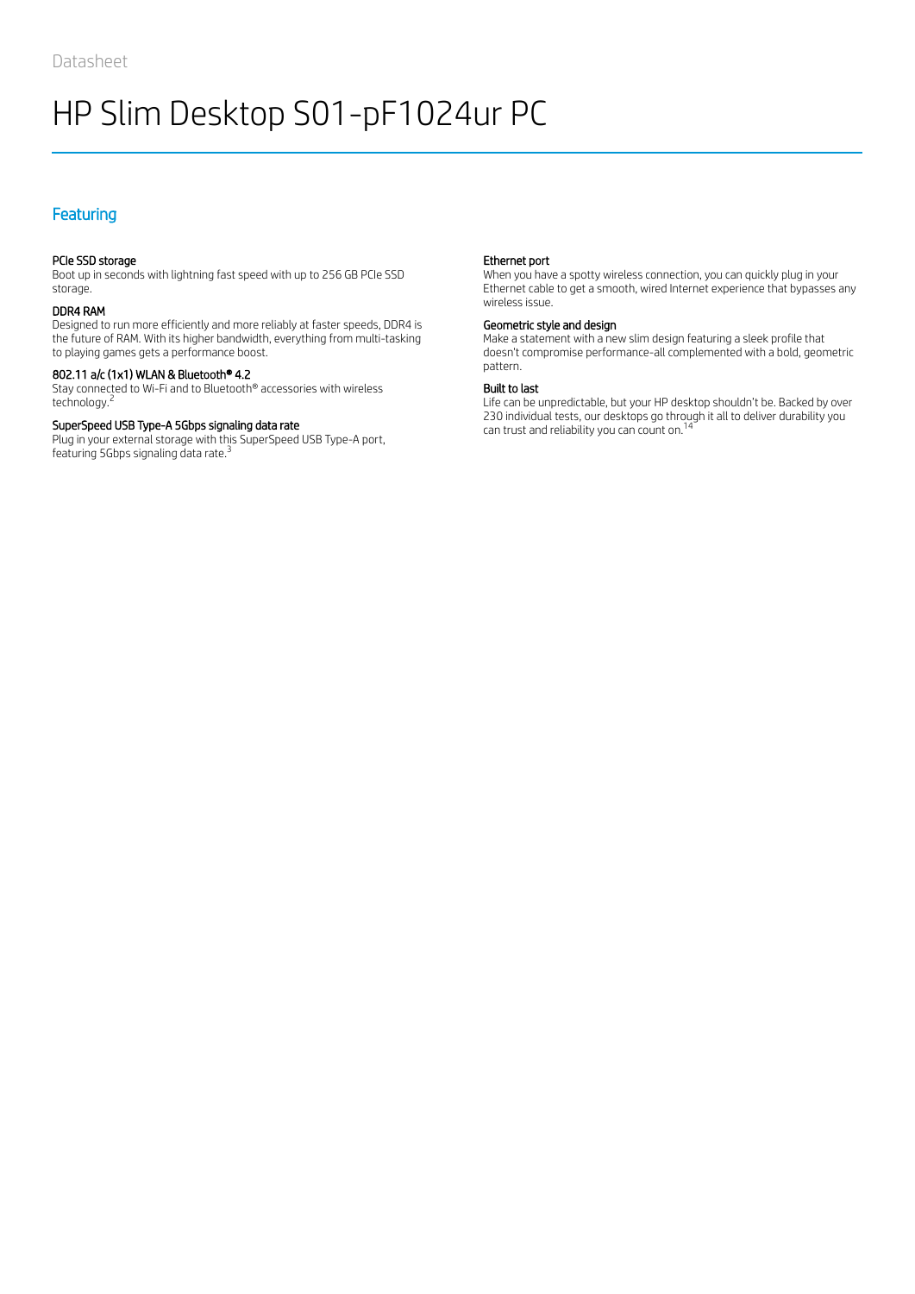## **Featuring**

## PCIe SSD storage

Boot up in seconds with lightning fast speed with up to 256 GB PCIe SSD storage.

### DDR4 RAM

Designed to run more efficiently and more reliably at faster speeds, DDR4 is the future of RAM. With its higher bandwidth, everything from multi-tasking to playing games gets a performance boost.

### 802.11 a/c (1x1) WLAN & Bluetooth® 4.2

Stay connected to Wi-Fi and to Bluetooth® accessories with wireless technology. 2

#### SuperSpeed USB Type-A 5Gbps signaling data rate

Plug in your external storage with this SuperSpeed USB Type-A port, featuring 5Gbps signaling data rate.<sup>3</sup>

#### Ethernet port

When you have a spotty wireless connection, you can quickly plug in your Ethernet cable to get a smooth, wired Internet experience that bypasses any wireless issue.

#### Geometric style and design

Make a statement with a new slim design featuring a sleek profile that doesn't compromise performance-all complemented with a bold, geometric pattern.

#### Built to last

Life can be unpredictable, but your HP desktop shouldn't be. Backed by over 230 individual tests, our desktops go through it all to deliver durability you can trust and reliability you can count on.<sup>14</sup>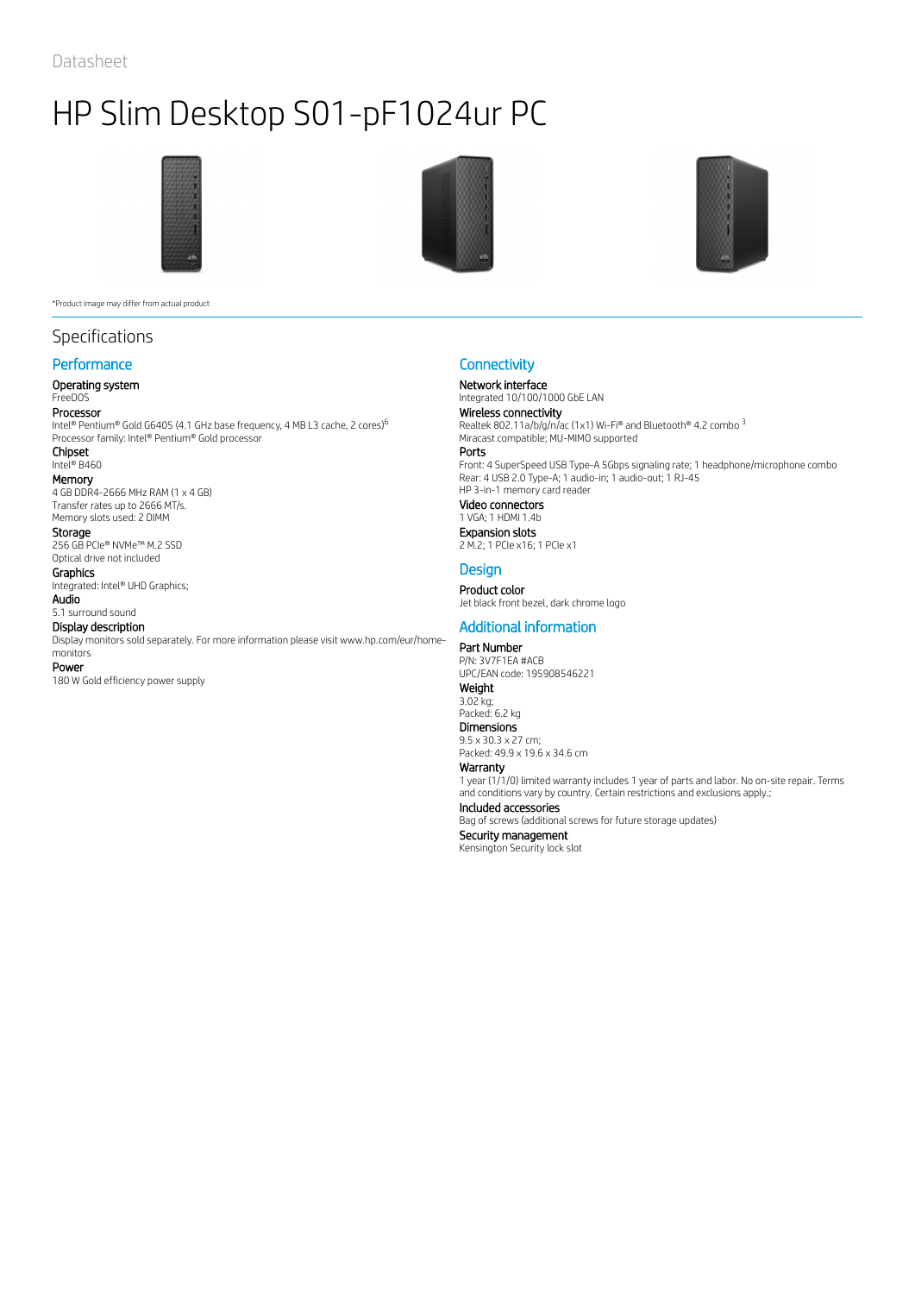

\*Product image may differ from actual product

## Specifications

## **Performance**

### Operating system

## FreeDOS

Processor Intel® Pentium® Gold G6405 (4.1 GHz base frequency, 4 MB L3 cache, 2 cores)

Processor family: Intel® Pentium® Gold processor Chipset

Intel® B460

Memory 4 GB DDR4-2666 MHz RAM (1 x 4 GB) Transfer rates up to 2666 MT/s. Memory slots used: 2 DIMM

## Storage

256 GB PCIe® NVMe™ M.2 SSD Optical drive not included

Graphics

Integrated: Intel® UHD Graphics; Audio

5.1 surround sound Display description

Display monitors sold separately. For more information please visit www.hp.com/eur/home-

## monitors

Power 180 W Gold efficiency power supply





## **Connectivity**

Network interface

Integrated 10/100/1000 GbE LAN Wireless connectivity

 $^6$  Realtek 802.11a/b/g/n/ac (1x1) Wi-Fi® and Bluetooth® 4.2 combo 3 Miracast compatible; MU-MIMO supported

Ports Front: 4 SuperSpeed USB Type-A 5Gbps signaling rate; 1 headphone/microphone combo Rear: 4 USB 2.0 Type-A; 1 audio-in; 1 audio-out; 1 RJ-45 HP 3-in-1 memory card reader Video connectors

## 1 VGA; 1 HDMI 1.4b

Expansion slots 2 M.2; 1 PCIe x16; 1 PCIe x1

## **Design**

Product color Jet black front bezel, dark chrome logo

## Additional information

Part Number P/N: 3V7F1EA #ACB UPC/EAN code: 195908546221 Weight 3.02 kg; Packed: 6.2 kg Dimensions 9.5 x 30.3 x 27 cm; Packed: 49.9 x 19.6 x 34.6 cm Warranty 1 year (1/1/0) limited warranty includes 1 year of parts and labor. No on-site repair. Terms and conditions vary by country. Certain restrictions and exclusions apply.; Included accessories Bag of screws (additional screws for future storage updates) Security management Kensington Security lock slot